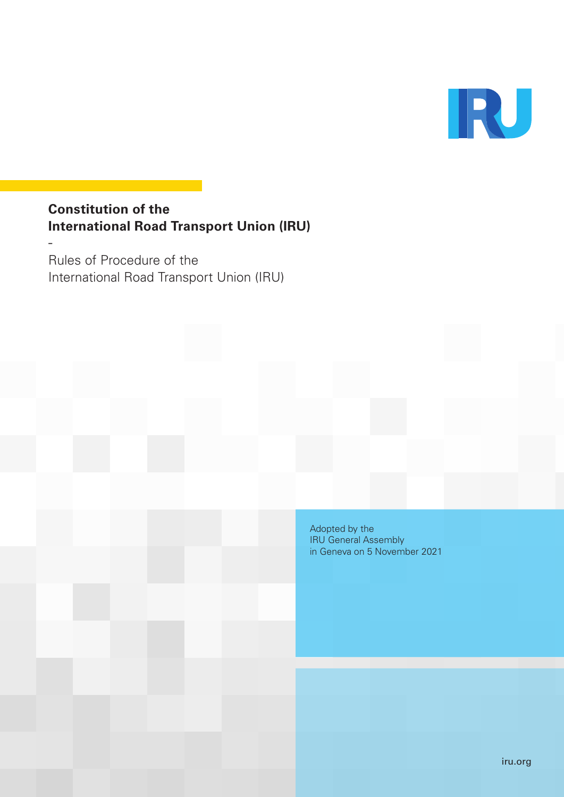

# **Constitution of the International Road Transport Union (IRU)**

Rules of Procedure of the International Road Transport Union (IRU)

-

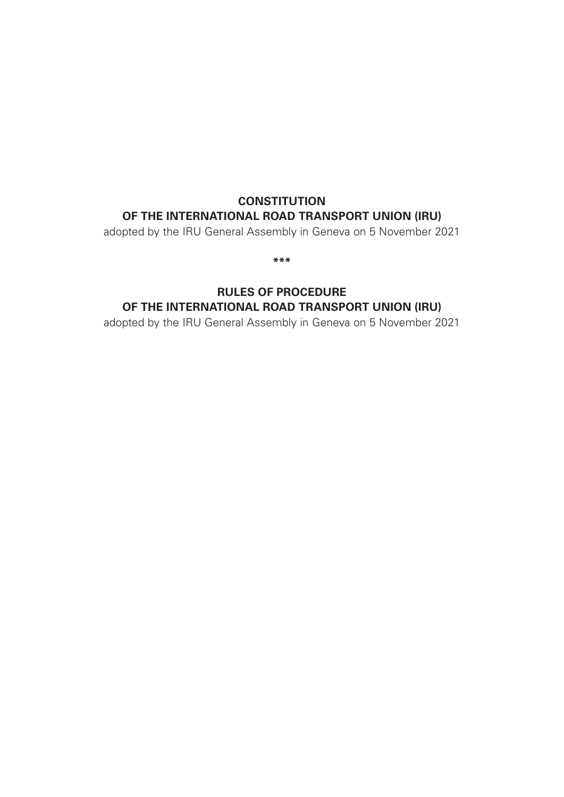# **CONSTITUTION OF THE INTERNATIONAL ROAD TRANSPORT UNION (IRU)**

adopted by the IRU General Assembly in Geneva on 5 November 2021

**\*\*\***

# **RULES OF PROCEDURE OF THE INTERNATIONAL ROAD TRANSPORT UNION (IRU)**

adopted by the IRU General Assembly in Geneva on 5 November 2021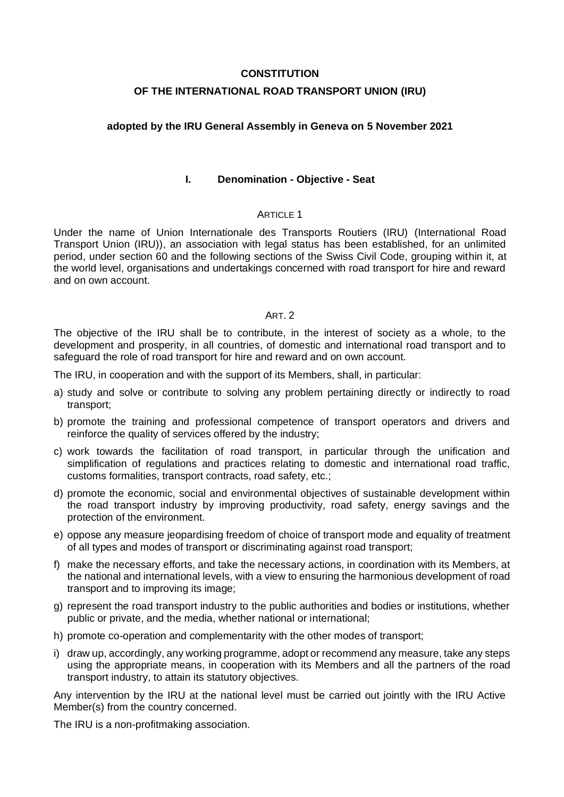#### **CONSTITUTION**

# **OF THE INTERNATIONAL ROAD TRANSPORT UNION (IRU)**

# **adopted by the IRU General Assembly in Geneva on 5 November 2021**

#### **I. Denomination - Objective - Seat**

# ARTICLE 1

Under the name of Union Internationale des Transports Routiers (IRU) (International Road Transport Union (IRU)), an association with legal status has been established, for an unlimited period, under section 60 and the following sections of the Swiss Civil Code, grouping within it, at the world level, organisations and undertakings concerned with road transport for hire and reward and on own account.

# ART. 2

The objective of the IRU shall be to contribute, in the interest of society as a whole, to the development and prosperity, in all countries, of domestic and international road transport and to safeguard the role of road transport for hire and reward and on own account.

The IRU, in cooperation and with the support of its Members, shall, in particular:

- a) study and solve or contribute to solving any problem pertaining directly or indirectly to road transport;
- b) promote the training and professional competence of transport operators and drivers and reinforce the quality of services offered by the industry;
- c) work towards the facilitation of road transport, in particular through the unification and simplification of regulations and practices relating to domestic and international road traffic, customs formalities, transport contracts, road safety, etc.;
- d) promote the economic, social and environmental objectives of sustainable development within the road transport industry by improving productivity, road safety, energy savings and the protection of the environment.
- e) oppose any measure jeopardising freedom of choice of transport mode and equality of treatment of all types and modes of transport or discriminating against road transport;
- f) make the necessary efforts, and take the necessary actions, in coordination with its Members, at the national and international levels, with a view to ensuring the harmonious development of road transport and to improving its image;
- g) represent the road transport industry to the public authorities and bodies or institutions, whether public or private, and the media, whether national or international;
- h) promote co-operation and complementarity with the other modes of transport;
- i) draw up, accordingly, any working programme, adopt or recommend any measure, take any steps using the appropriate means, in cooperation with its Members and all the partners of the road transport industry, to attain its statutory objectives.

Any intervention by the IRU at the national level must be carried out jointly with the IRU Active Member(s) from the country concerned.

The IRU is a non-profitmaking association.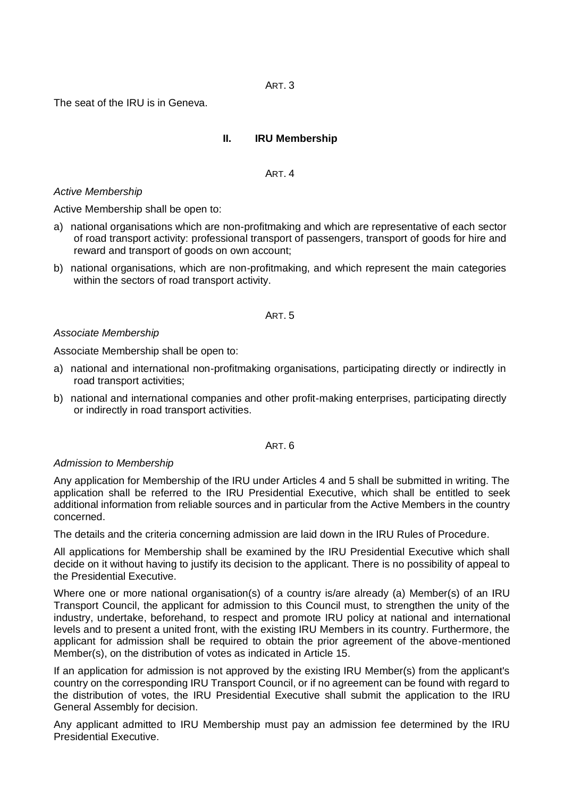ART. 3

The seat of the IRU is in Geneva.

#### **II. IRU Membership**

ART<sub>4</sub>

#### *Active Membership*

Active Membership shall be open to:

- a) national organisations which are non-profitmaking and which are representative of each sector of road transport activity: professional transport of passengers, transport of goods for hire and reward and transport of goods on own account;
- b) national organisations, which are non-profitmaking, and which represent the main categories within the sectors of road transport activity.

#### ART. 5

#### *Associate Membership*

Associate Membership shall be open to:

- a) national and international non-profitmaking organisations, participating directly or indirectly in road transport activities;
- b) national and international companies and other profit-making enterprises, participating directly or indirectly in road transport activities.

#### ART. 6

#### *Admission to Membership*

Any application for Membership of the IRU under Articles 4 and 5 shall be submitted in writing. The application shall be referred to the IRU Presidential Executive, which shall be entitled to seek additional information from reliable sources and in particular from the Active Members in the country concerned.

The details and the criteria concerning admission are laid down in the IRU Rules of Procedure.

All applications for Membership shall be examined by the IRU Presidential Executive which shall decide on it without having to justify its decision to the applicant. There is no possibility of appeal to the Presidential Executive.

Where one or more national organisation(s) of a country is/are already (a) Member(s) of an IRU Transport Council, the applicant for admission to this Council must, to strengthen the unity of the industry, undertake, beforehand, to respect and promote IRU policy at national and international levels and to present a united front, with the existing IRU Members in its country. Furthermore, the applicant for admission shall be required to obtain the prior agreement of the above-mentioned Member(s), on the distribution of votes as indicated in Article 15.

If an application for admission is not approved by the existing IRU Member(s) from the applicant's country on the corresponding IRU Transport Council, or if no agreement can be found with regard to the distribution of votes, the IRU Presidential Executive shall submit the application to the IRU General Assembly for decision.

Any applicant admitted to IRU Membership must pay an admission fee determined by the IRU Presidential Executive.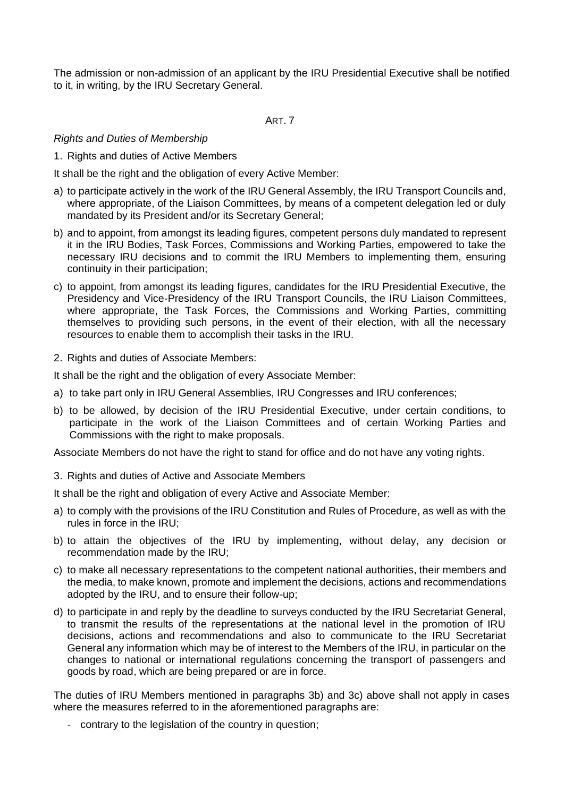The admission or non-admission of an applicant by the IRU Presidential Executive shall be notified to it, in writing, by the IRU Secretary General.

ART. 7

# *Rights and Duties of Membership*

1. Rights and duties of Active Members

It shall be the right and the obligation of every Active Member:

- a) to participate actively in the work of the IRU General Assembly, the IRU Transport Councils and, where appropriate, of the Liaison Committees, by means of a competent delegation led or duly mandated by its President and/or its Secretary General;
- b) and to appoint, from amongst its leading figures, competent persons duly mandated to represent it in the IRU Bodies, Task Forces, Commissions and Working Parties, empowered to take the necessary IRU decisions and to commit the IRU Members to implementing them, ensuring continuity in their participation;
- c) to appoint, from amongst its leading figures, candidates for the IRU Presidential Executive, the Presidency and Vice-Presidency of the IRU Transport Councils, the IRU Liaison Committees, where appropriate, the Task Forces, the Commissions and Working Parties, committing themselves to providing such persons, in the event of their election, with all the necessary resources to enable them to accomplish their tasks in the IRU.
- 2. Rights and duties of Associate Members:

It shall be the right and the obligation of every Associate Member:

- a) to take part only in IRU General Assemblies, IRU Congresses and IRU conferences;
- b) to be allowed, by decision of the IRU Presidential Executive, under certain conditions, to participate in the work of the Liaison Committees and of certain Working Parties and Commissions with the right to make proposals.

Associate Members do not have the right to stand for office and do not have any voting rights.

3. Rights and duties of Active and Associate Members

It shall be the right and obligation of every Active and Associate Member:

- a) to comply with the provisions of the IRU Constitution and Rules of Procedure, as well as with the rules in force in the IRU;
- b) to attain the objectives of the IRU by implementing, without delay, any decision or recommendation made by the IRU;
- c) to make all necessary representations to the competent national authorities, their members and the media, to make known, promote and implement the decisions, actions and recommendations adopted by the IRU, and to ensure their follow-up;
- d) to participate in and reply by the deadline to surveys conducted by the IRU Secretariat General, to transmit the results of the representations at the national level in the promotion of IRU decisions, actions and recommendations and also to communicate to the IRU Secretariat General any information which may be of interest to the Members of the IRU, in particular on the changes to national or international regulations concerning the transport of passengers and goods by road, which are being prepared or are in force.

The duties of IRU Members mentioned in paragraphs 3b) and 3c) above shall not apply in cases where the measures referred to in the aforementioned paragraphs are:

- contrary to the legislation of the country in question;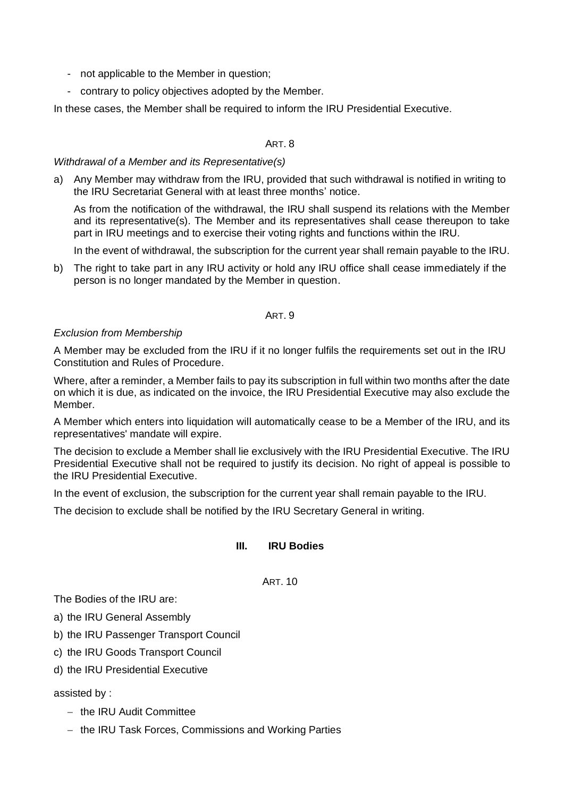- not applicable to the Member in question;
- contrary to policy objectives adopted by the Member.

In these cases, the Member shall be required to inform the IRU Presidential Executive.

# ART. 8

#### *Withdrawal of a Member and its Representative(s)*

a) Any Member may withdraw from the IRU, provided that such withdrawal is notified in writing to the IRU Secretariat General with at least three months' notice.

As from the notification of the withdrawal, the IRU shall suspend its relations with the Member and its representative(s). The Member and its representatives shall cease thereupon to take part in IRU meetings and to exercise their voting rights and functions within the IRU.

In the event of withdrawal, the subscription for the current year shall remain payable to the IRU.

b) The right to take part in any IRU activity or hold any IRU office shall cease immediately if the person is no longer mandated by the Member in question.

# ART. 9

# *Exclusion from Membership*

A Member may be excluded from the IRU if it no longer fulfils the requirements set out in the IRU Constitution and Rules of Procedure.

Where, after a reminder, a Member fails to pay its subscription in full within two months after the date on which it is due, as indicated on the invoice, the IRU Presidential Executive may also exclude the Member.

A Member which enters into liquidation will automatically cease to be a Member of the IRU, and its representatives' mandate will expire.

The decision to exclude a Member shall lie exclusively with the IRU Presidential Executive. The IRU Presidential Executive shall not be required to justify its decision. No right of appeal is possible to the IRU Presidential Executive.

In the event of exclusion, the subscription for the current year shall remain payable to the IRU.

The decision to exclude shall be notified by the IRU Secretary General in writing.

# **III. IRU Bodies**

ART. 10

The Bodies of the IRU are:

a) the IRU General Assembly

- b) the IRU Passenger Transport Council
- c) the IRU Goods Transport Council
- d) the IRU Presidential Executive

#### assisted by :

- − the IRU Audit Committee
- − the IRU Task Forces, Commissions and Working Parties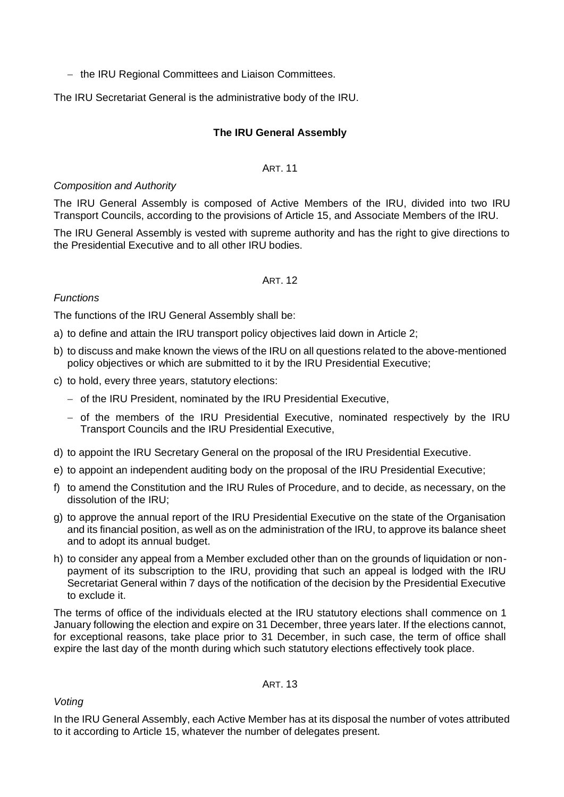− the IRU Regional Committees and Liaison Committees.

The IRU Secretariat General is the administrative body of the IRU.

# **The IRU General Assembly**

#### ART. 11

# *Composition and Authority*

The IRU General Assembly is composed of Active Members of the IRU, divided into two IRU Transport Councils, according to the provisions of Article 15, and Associate Members of the IRU.

The IRU General Assembly is vested with supreme authority and has the right to give directions to the Presidential Executive and to all other IRU bodies.

#### ART<sub>12</sub>

# *Functions*

The functions of the IRU General Assembly shall be:

- a) to define and attain the IRU transport policy objectives laid down in Article 2;
- b) to discuss and make known the views of the IRU on all questions related to the above-mentioned policy objectives or which are submitted to it by the IRU Presidential Executive;
- c) to hold, every three years, statutory elections:
	- − of the IRU President, nominated by the IRU Presidential Executive,
	- − of the members of the IRU Presidential Executive, nominated respectively by the IRU Transport Councils and the IRU Presidential Executive,
- d) to appoint the IRU Secretary General on the proposal of the IRU Presidential Executive.
- e) to appoint an independent auditing body on the proposal of the IRU Presidential Executive;
- f) to amend the Constitution and the IRU Rules of Procedure, and to decide, as necessary, on the dissolution of the IRU;
- g) to approve the annual report of the IRU Presidential Executive on the state of the Organisation and its financial position, as well as on the administration of the IRU, to approve its balance sheet and to adopt its annual budget.
- h) to consider any appeal from a Member excluded other than on the grounds of liquidation or nonpayment of its subscription to the IRU, providing that such an appeal is lodged with the IRU Secretariat General within 7 days of the notification of the decision by the Presidential Executive to exclude it.

The terms of office of the individuals elected at the IRU statutory elections shall commence on 1 January following the election and expire on 31 December, three years later. If the elections cannot, for exceptional reasons, take place prior to 31 December, in such case, the term of office shall expire the last day of the month during which such statutory elections effectively took place.

# ART. 13

*Voting*

In the IRU General Assembly, each Active Member has at its disposal the number of votes attributed to it according to Article 15, whatever the number of delegates present.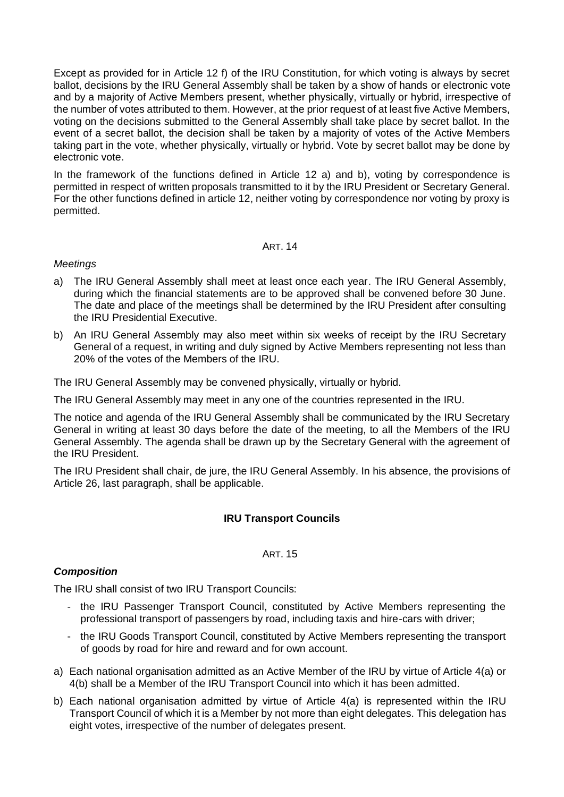Except as provided for in Article 12 f) of the IRU Constitution, for which voting is always by secret ballot, decisions by the IRU General Assembly shall be taken by a show of hands or electronic vote and by a majority of Active Members present, whether physically, virtually or hybrid, irrespective of the number of votes attributed to them. However, at the prior request of at least five Active Members, voting on the decisions submitted to the General Assembly shall take place by secret ballot. In the event of a secret ballot, the decision shall be taken by a majority of votes of the Active Members taking part in the vote, whether physically, virtually or hybrid. Vote by secret ballot may be done by electronic vote.

In the framework of the functions defined in Article 12 a) and b), voting by correspondence is permitted in respect of written proposals transmitted to it by the IRU President or Secretary General. For the other functions defined in article 12, neither voting by correspondence nor voting by proxy is permitted.

#### ART. 14

# *Meetings*

- a) The IRU General Assembly shall meet at least once each year. The IRU General Assembly, during which the financial statements are to be approved shall be convened before 30 June. The date and place of the meetings shall be determined by the IRU President after consulting the IRU Presidential Executive.
- b) An IRU General Assembly may also meet within six weeks of receipt by the IRU Secretary General of a request, in writing and duly signed by Active Members representing not less than 20% of the votes of the Members of the IRU.

The IRU General Assembly may be convened physically, virtually or hybrid.

The IRU General Assembly may meet in any one of the countries represented in the IRU.

The notice and agenda of the IRU General Assembly shall be communicated by the IRU Secretary General in writing at least 30 days before the date of the meeting, to all the Members of the IRU General Assembly. The agenda shall be drawn up by the Secretary General with the agreement of the IRU President.

The IRU President shall chair, de jure, the IRU General Assembly. In his absence, the provisions of Article 26, last paragraph, shall be applicable.

# **IRU Transport Councils**

#### ART. 15

# *Composition*

The IRU shall consist of two IRU Transport Councils:

- the IRU Passenger Transport Council, constituted by Active Members representing the professional transport of passengers by road, including taxis and hire-cars with driver;
- the IRU Goods Transport Council, constituted by Active Members representing the transport of goods by road for hire and reward and for own account.
- a) Each national organisation admitted as an Active Member of the IRU by virtue of Article 4(a) or 4(b) shall be a Member of the IRU Transport Council into which it has been admitted.
- b) Each national organisation admitted by virtue of Article 4(a) is represented within the IRU Transport Council of which it is a Member by not more than eight delegates. This delegation has eight votes, irrespective of the number of delegates present.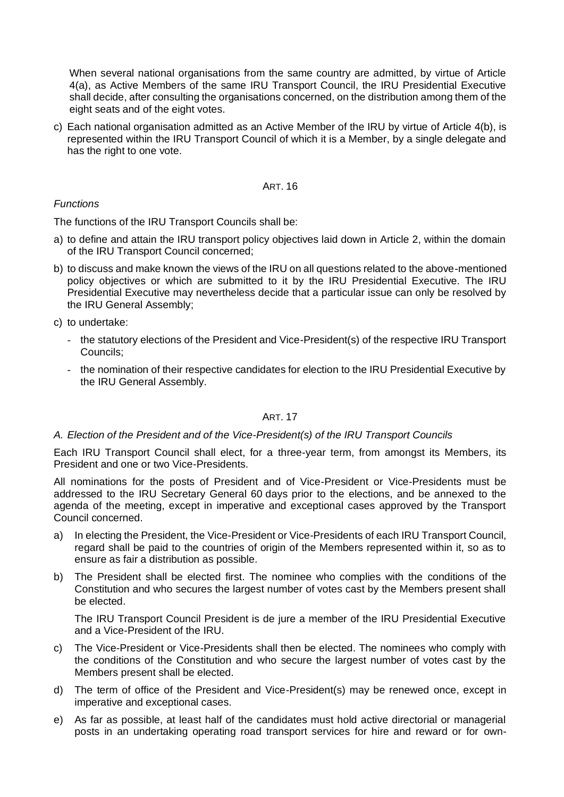When several national organisations from the same country are admitted, by virtue of Article 4(a), as Active Members of the same IRU Transport Council, the IRU Presidential Executive shall decide, after consulting the organisations concerned, on the distribution among them of the eight seats and of the eight votes.

c) Each national organisation admitted as an Active Member of the IRU by virtue of Article 4(b), is represented within the IRU Transport Council of which it is a Member, by a single delegate and has the right to one vote.

#### ART. 16

# *Functions*

The functions of the IRU Transport Councils shall be:

- a) to define and attain the IRU transport policy objectives laid down in Article 2, within the domain of the IRU Transport Council concerned;
- b) to discuss and make known the views of the IRU on all questions related to the above-mentioned policy objectives or which are submitted to it by the IRU Presidential Executive. The IRU Presidential Executive may nevertheless decide that a particular issue can only be resolved by the IRU General Assembly;
- c) to undertake:
	- the statutory elections of the President and Vice-President(s) of the respective IRU Transport Councils;
	- the nomination of their respective candidates for election to the IRU Presidential Executive by the IRU General Assembly.

#### ART. 17

#### *A. Election of the President and of the Vice-President(s) of the IRU Transport Councils*

Each IRU Transport Council shall elect, for a three-year term, from amongst its Members, its President and one or two Vice-Presidents.

All nominations for the posts of President and of Vice-President or Vice-Presidents must be addressed to the IRU Secretary General 60 days prior to the elections, and be annexed to the agenda of the meeting, except in imperative and exceptional cases approved by the Transport Council concerned.

- a) In electing the President, the Vice-President or Vice-Presidents of each IRU Transport Council, regard shall be paid to the countries of origin of the Members represented within it, so as to ensure as fair a distribution as possible.
- b) The President shall be elected first. The nominee who complies with the conditions of the Constitution and who secures the largest number of votes cast by the Members present shall be elected.

The IRU Transport Council President is de jure a member of the IRU Presidential Executive and a Vice-President of the IRU.

- c) The Vice-President or Vice-Presidents shall then be elected. The nominees who comply with the conditions of the Constitution and who secure the largest number of votes cast by the Members present shall be elected.
- d) The term of office of the President and Vice-President(s) may be renewed once, except in imperative and exceptional cases.
- e) As far as possible, at least half of the candidates must hold active directorial or managerial posts in an undertaking operating road transport services for hire and reward or for own-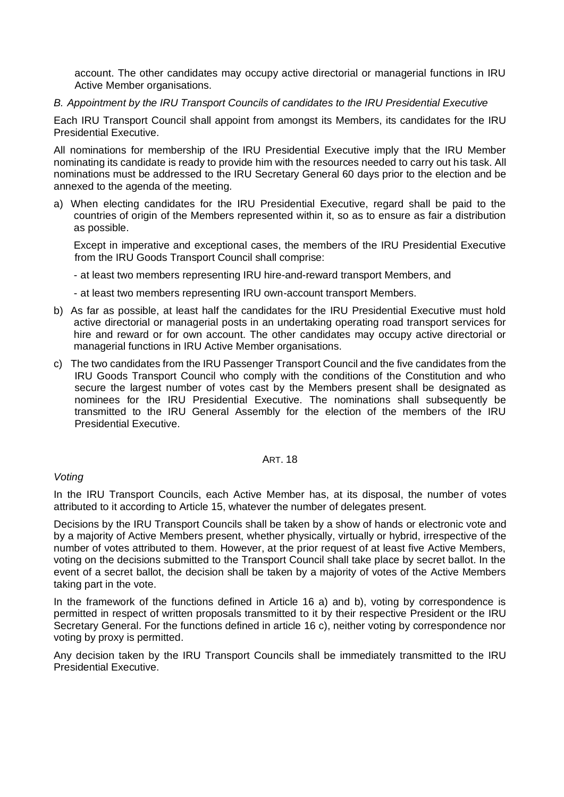account. The other candidates may occupy active directorial or managerial functions in IRU Active Member organisations.

*B. Appointment by the IRU Transport Councils of candidates to the IRU Presidential Executive*

Each IRU Transport Council shall appoint from amongst its Members, its candidates for the IRU Presidential Executive.

All nominations for membership of the IRU Presidential Executive imply that the IRU Member nominating its candidate is ready to provide him with the resources needed to carry out his task. All nominations must be addressed to the IRU Secretary General 60 days prior to the election and be annexed to the agenda of the meeting.

a) When electing candidates for the IRU Presidential Executive, regard shall be paid to the countries of origin of the Members represented within it, so as to ensure as fair a distribution as possible.

Except in imperative and exceptional cases, the members of the IRU Presidential Executive from the IRU Goods Transport Council shall comprise:

- at least two members representing IRU hire-and-reward transport Members, and
- at least two members representing IRU own-account transport Members.
- b) As far as possible, at least half the candidates for the IRU Presidential Executive must hold active directorial or managerial posts in an undertaking operating road transport services for hire and reward or for own account. The other candidates may occupy active directorial or managerial functions in IRU Active Member organisations.
- c) The two candidates from the IRU Passenger Transport Council and the five candidates from the IRU Goods Transport Council who comply with the conditions of the Constitution and who secure the largest number of votes cast by the Members present shall be designated as nominees for the IRU Presidential Executive. The nominations shall subsequently be transmitted to the IRU General Assembly for the election of the members of the IRU Presidential Executive.

#### ART. 18

#### *Voting*

In the IRU Transport Councils, each Active Member has, at its disposal, the number of votes attributed to it according to Article 15, whatever the number of delegates present.

Decisions by the IRU Transport Councils shall be taken by a show of hands or electronic vote and by a majority of Active Members present, whether physically, virtually or hybrid, irrespective of the number of votes attributed to them. However, at the prior request of at least five Active Members, voting on the decisions submitted to the Transport Council shall take place by secret ballot. In the event of a secret ballot, the decision shall be taken by a majority of votes of the Active Members taking part in the vote.

In the framework of the functions defined in Article 16 a) and b), voting by correspondence is permitted in respect of written proposals transmitted to it by their respective President or the IRU Secretary General. For the functions defined in article 16 c), neither voting by correspondence nor voting by proxy is permitted.

Any decision taken by the IRU Transport Councils shall be immediately transmitted to the IRU Presidential Executive.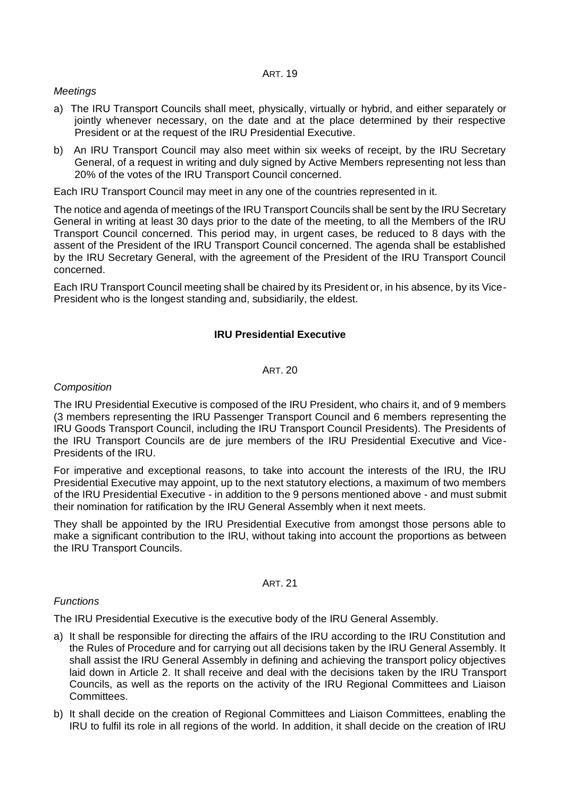#### ART. 19

# *Meetings*

- a) The IRU Transport Councils shall meet, physically, virtually or hybrid, and either separately or jointly whenever necessary, on the date and at the place determined by their respective President or at the request of the IRU Presidential Executive.
- b) An IRU Transport Council may also meet within six weeks of receipt, by the IRU Secretary General, of a request in writing and duly signed by Active Members representing not less than 20% of the votes of the IRU Transport Council concerned*.*

Each IRU Transport Council may meet in any one of the countries represented in it.

The notice and agenda of meetings of the IRU Transport Councils shall be sent by the IRU Secretary General in writing at least 30 days prior to the date of the meeting, to all the Members of the IRU Transport Council concerned. This period may, in urgent cases, be reduced to 8 days with the assent of the President of the IRU Transport Council concerned. The agenda shall be established by the IRU Secretary General, with the agreement of the President of the IRU Transport Council concerned.

Each IRU Transport Council meeting shall be chaired by its President or, in his absence, by its Vice-President who is the longest standing and, subsidiarily, the eldest.

# **IRU Presidential Executive**

#### ART<sub>20</sub>

# *Composition*

The IRU Presidential Executive is composed of the IRU President, who chairs it, and of 9 members (3 members representing the IRU Passenger Transport Council and 6 members representing the IRU Goods Transport Council, including the IRU Transport Council Presidents). The Presidents of the IRU Transport Councils are de jure members of the IRU Presidential Executive and Vice-Presidents of the IRU.

For imperative and exceptional reasons, to take into account the interests of the IRU, the IRU Presidential Executive may appoint, up to the next statutory elections, a maximum of two members of the IRU Presidential Executive - in addition to the 9 persons mentioned above - and must submit their nomination for ratification by the IRU General Assembly when it next meets.

They shall be appointed by the IRU Presidential Executive from amongst those persons able to make a significant contribution to the IRU, without taking into account the proportions as between the IRU Transport Councils.

#### ART. 21

# *Functions*

The IRU Presidential Executive is the executive body of the IRU General Assembly.

- a) It shall be responsible for directing the affairs of the IRU according to the IRU Constitution and the Rules of Procedure and for carrying out all decisions taken by the IRU General Assembly. It shall assist the IRU General Assembly in defining and achieving the transport policy objectives laid down in Article 2. It shall receive and deal with the decisions taken by the IRU Transport Councils, as well as the reports on the activity of the IRU Regional Committees and Liaison Committees.
- b) It shall decide on the creation of Regional Committees and Liaison Committees, enabling the IRU to fulfil its role in all regions of the world. In addition, it shall decide on the creation of IRU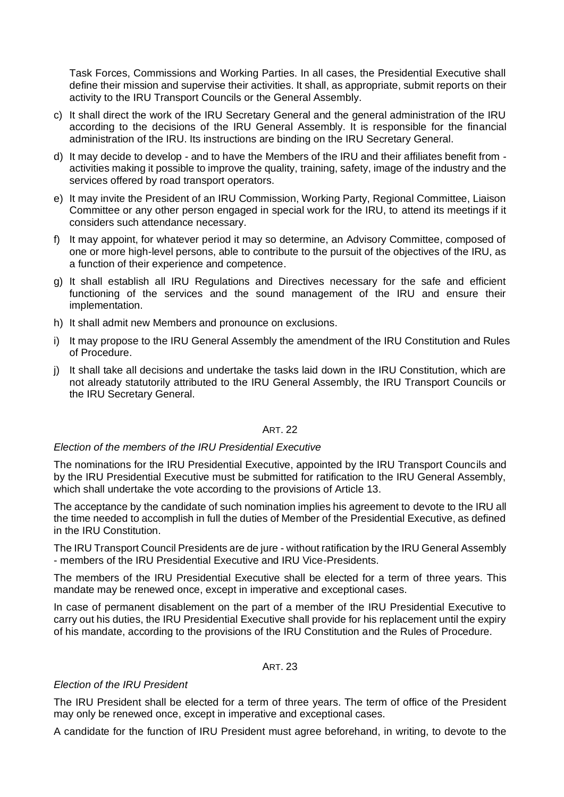Task Forces, Commissions and Working Parties. In all cases, the Presidential Executive shall define their mission and supervise their activities. It shall, as appropriate, submit reports on their activity to the IRU Transport Councils or the General Assembly.

- c) It shall direct the work of the IRU Secretary General and the general administration of the IRU according to the decisions of the IRU General Assembly. It is responsible for the financial administration of the IRU. Its instructions are binding on the IRU Secretary General.
- d) It may decide to develop and to have the Members of the IRU and their affiliates benefit from activities making it possible to improve the quality, training, safety, image of the industry and the services offered by road transport operators.
- e) It may invite the President of an IRU Commission, Working Party, Regional Committee, Liaison Committee or any other person engaged in special work for the IRU, to attend its meetings if it considers such attendance necessary.
- f) It may appoint, for whatever period it may so determine, an Advisory Committee, composed of one or more high-level persons, able to contribute to the pursuit of the objectives of the IRU, as a function of their experience and competence.
- g) It shall establish all IRU Regulations and Directives necessary for the safe and efficient functioning of the services and the sound management of the IRU and ensure their implementation.
- h) It shall admit new Members and pronounce on exclusions.
- i) It may propose to the IRU General Assembly the amendment of the IRU Constitution and Rules of Procedure.
- j) It shall take all decisions and undertake the tasks laid down in the IRU Constitution, which are not already statutorily attributed to the IRU General Assembly, the IRU Transport Councils or the IRU Secretary General.

#### ART. 22

#### *Election of the members of the IRU Presidential Executive*

The nominations for the IRU Presidential Executive, appointed by the IRU Transport Councils and by the IRU Presidential Executive must be submitted for ratification to the IRU General Assembly, which shall undertake the vote according to the provisions of Article 13.

The acceptance by the candidate of such nomination implies his agreement to devote to the IRU all the time needed to accomplish in full the duties of Member of the Presidential Executive, as defined in the IRU Constitution.

The IRU Transport Council Presidents are de jure - without ratification by the IRU General Assembly - members of the IRU Presidential Executive and IRU Vice-Presidents.

The members of the IRU Presidential Executive shall be elected for a term of three years. This mandate may be renewed once, except in imperative and exceptional cases.

In case of permanent disablement on the part of a member of the IRU Presidential Executive to carry out his duties, the IRU Presidential Executive shall provide for his replacement until the expiry of his mandate, according to the provisions of the IRU Constitution and the Rules of Procedure.

#### ART. 23

#### *Election of the IRU President*

The IRU President shall be elected for a term of three years. The term of office of the President may only be renewed once, except in imperative and exceptional cases.

A candidate for the function of IRU President must agree beforehand, in writing, to devote to the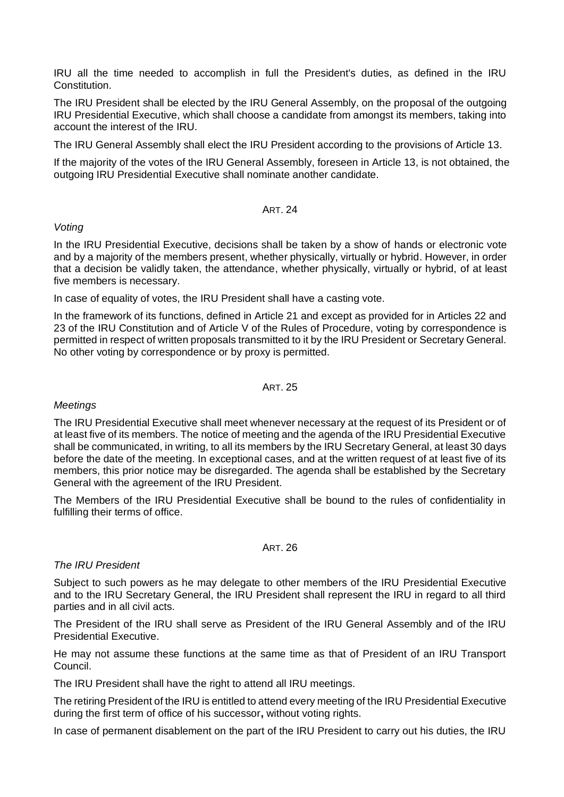IRU all the time needed to accomplish in full the President's duties, as defined in the IRU Constitution.

The IRU President shall be elected by the IRU General Assembly, on the proposal of the outgoing IRU Presidential Executive, which shall choose a candidate from amongst its members, taking into account the interest of the IRU.

The IRU General Assembly shall elect the IRU President according to the provisions of Article 13.

If the majority of the votes of the IRU General Assembly, foreseen in Article 13, is not obtained, the outgoing IRU Presidential Executive shall nominate another candidate.

#### ART. 24

# *Voting*

In the IRU Presidential Executive, decisions shall be taken by a show of hands or electronic vote and by a majority of the members present, whether physically, virtually or hybrid. However, in order that a decision be validly taken, the attendance, whether physically, virtually or hybrid, of at least five members is necessary.

In case of equality of votes, the IRU President shall have a casting vote.

In the framework of its functions, defined in Article 21 and except as provided for in Articles 22 and 23 of the IRU Constitution and of Article V of the Rules of Procedure, voting by correspondence is permitted in respect of written proposals transmitted to it by the IRU President or Secretary General. No other voting by correspondence or by proxy is permitted.

#### ART. 25

# *Meetings*

The IRU Presidential Executive shall meet whenever necessary at the request of its President or of at least five of its members. The notice of meeting and the agenda of the IRU Presidential Executive shall be communicated, in writing, to all its members by the IRU Secretary General, at least 30 days before the date of the meeting. In exceptional cases, and at the written request of at least five of its members, this prior notice may be disregarded. The agenda shall be established by the Secretary General with the agreement of the IRU President.

The Members of the IRU Presidential Executive shall be bound to the rules of confidentiality in fulfilling their terms of office.

#### ART. 26

# *The IRU President*

Subject to such powers as he may delegate to other members of the IRU Presidential Executive and to the IRU Secretary General, the IRU President shall represent the IRU in regard to all third parties and in all civil acts.

The President of the IRU shall serve as President of the IRU General Assembly and of the IRU Presidential Executive.

He may not assume these functions at the same time as that of President of an IRU Transport Council.

The IRU President shall have the right to attend all IRU meetings.

The retiring President of the IRU is entitled to attend every meeting of the IRU Presidential Executive during the first term of office of his successor**,** without voting rights.

In case of permanent disablement on the part of the IRU President to carry out his duties, the IRU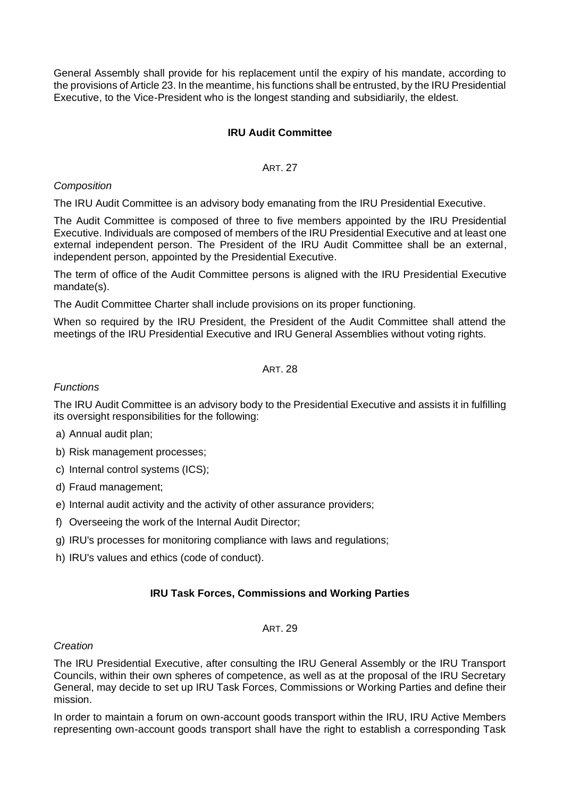General Assembly shall provide for his replacement until the expiry of his mandate, according to the provisions of Article 23. In the meantime, his functions shall be entrusted, by the IRU Presidential Executive, to the Vice-President who is the longest standing and subsidiarily, the eldest.

# **IRU Audit Committee**

#### ART. 27

#### *Composition*

The IRU Audit Committee is an advisory body emanating from the IRU Presidential Executive.

The Audit Committee is composed of three to five members appointed by the IRU Presidential Executive. Individuals are composed of members of the IRU Presidential Executive and at least one external independent person. The President of the IRU Audit Committee shall be an external, independent person, appointed by the Presidential Executive.

The term of office of the Audit Committee persons is aligned with the IRU Presidential Executive mandate(s).

The Audit Committee Charter shall include provisions on its proper functioning.

When so required by the IRU President, the President of the Audit Committee shall attend the meetings of the IRU Presidential Executive and IRU General Assemblies without voting rights.

# ART. 28

# *Functions*

The IRU Audit Committee is an advisory body to the Presidential Executive and assists it in fulfilling its oversight responsibilities for the following:

- a) Annual audit plan;
- b) Risk management processes;
- c) Internal control systems (ICS);
- d) Fraud management;
- e) Internal audit activity and the activity of other assurance providers;
- f) Overseeing the work of the Internal Audit Director;
- g) IRU's processes for monitoring compliance with laws and regulations;
- h) IRU's values and ethics (code of conduct).

#### **IRU Task Forces, Commissions and Working Parties**

#### ART. 29

#### *Creation*

The IRU Presidential Executive, after consulting the IRU General Assembly or the IRU Transport Councils, within their own spheres of competence, as well as at the proposal of the IRU Secretary General, may decide to set up IRU Task Forces, Commissions or Working Parties and define their mission.

In order to maintain a forum on own-account goods transport within the IRU, IRU Active Members representing own-account goods transport shall have the right to establish a corresponding Task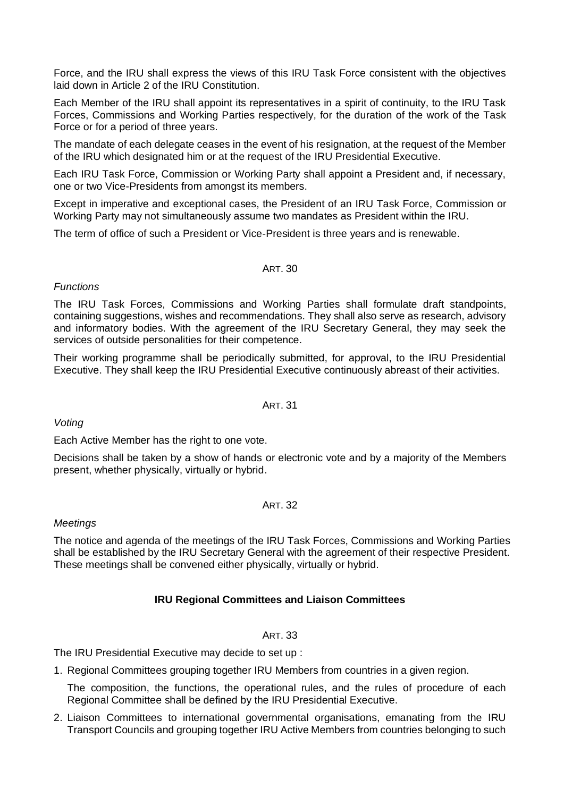Force, and the IRU shall express the views of this IRU Task Force consistent with the objectives laid down in Article 2 of the IRU Constitution.

Each Member of the IRU shall appoint its representatives in a spirit of continuity, to the IRU Task Forces, Commissions and Working Parties respectively, for the duration of the work of the Task Force or for a period of three years.

The mandate of each delegate ceases in the event of his resignation, at the request of the Member of the IRU which designated him or at the request of the IRU Presidential Executive.

Each IRU Task Force, Commission or Working Party shall appoint a President and, if necessary, one or two Vice-Presidents from amongst its members.

Except in imperative and exceptional cases, the President of an IRU Task Force, Commission or Working Party may not simultaneously assume two mandates as President within the IRU.

The term of office of such a President or Vice-President is three years and is renewable.

# ART. 30

# *Functions*

The IRU Task Forces, Commissions and Working Parties shall formulate draft standpoints, containing suggestions, wishes and recommendations. They shall also serve as research, advisory and informatory bodies. With the agreement of the IRU Secretary General, they may seek the services of outside personalities for their competence.

Their working programme shall be periodically submitted, for approval, to the IRU Presidential Executive. They shall keep the IRU Presidential Executive continuously abreast of their activities.

ART. 31

# *Voting*

Each Active Member has the right to one vote.

Decisions shall be taken by a show of hands or electronic vote and by a majority of the Members present, whether physically, virtually or hybrid.

#### ART. 32

# *Meetings*

The notice and agenda of the meetings of the IRU Task Forces, Commissions and Working Parties shall be established by the IRU Secretary General with the agreement of their respective President. These meetings shall be convened either physically, virtually or hybrid.

# **IRU Regional Committees and Liaison Committees**

# ART. 33

The IRU Presidential Executive may decide to set up :

1. Regional Committees grouping together IRU Members from countries in a given region.

The composition, the functions, the operational rules, and the rules of procedure of each Regional Committee shall be defined by the IRU Presidential Executive.

2. Liaison Committees to international governmental organisations, emanating from the IRU Transport Councils and grouping together IRU Active Members from countries belonging to such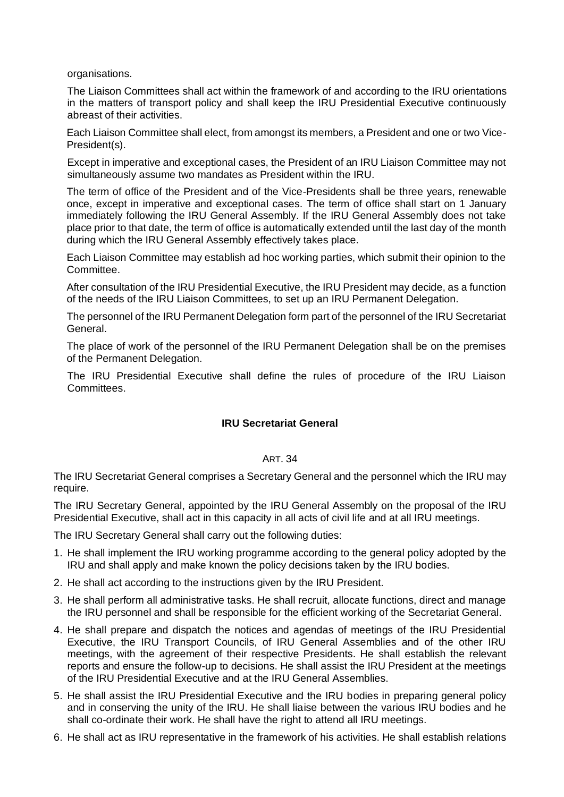organisations.

The Liaison Committees shall act within the framework of and according to the IRU orientations in the matters of transport policy and shall keep the IRU Presidential Executive continuously abreast of their activities.

Each Liaison Committee shall elect, from amongst its members, a President and one or two Vice-President(s).

Except in imperative and exceptional cases, the President of an IRU Liaison Committee may not simultaneously assume two mandates as President within the IRU.

The term of office of the President and of the Vice-Presidents shall be three years, renewable once, except in imperative and exceptional cases. The term of office shall start on 1 January immediately following the IRU General Assembly. If the IRU General Assembly does not take place prior to that date, the term of office is automatically extended until the last day of the month during which the IRU General Assembly effectively takes place.

Each Liaison Committee may establish ad hoc working parties, which submit their opinion to the Committee.

After consultation of the IRU Presidential Executive, the IRU President may decide, as a function of the needs of the IRU Liaison Committees, to set up an IRU Permanent Delegation.

The personnel of the IRU Permanent Delegation form part of the personnel of the IRU Secretariat General.

The place of work of the personnel of the IRU Permanent Delegation shall be on the premises of the Permanent Delegation.

The IRU Presidential Executive shall define the rules of procedure of the IRU Liaison Committees.

# **IRU Secretariat General**

#### ART. 34

The IRU Secretariat General comprises a Secretary General and the personnel which the IRU may require.

The IRU Secretary General, appointed by the IRU General Assembly on the proposal of the IRU Presidential Executive, shall act in this capacity in all acts of civil life and at all IRU meetings.

The IRU Secretary General shall carry out the following duties:

- 1. He shall implement the IRU working programme according to the general policy adopted by the IRU and shall apply and make known the policy decisions taken by the IRU bodies.
- 2. He shall act according to the instructions given by the IRU President.
- 3. He shall perform all administrative tasks. He shall recruit, allocate functions, direct and manage the IRU personnel and shall be responsible for the efficient working of the Secretariat General.
- 4. He shall prepare and dispatch the notices and agendas of meetings of the IRU Presidential Executive, the IRU Transport Councils, of IRU General Assemblies and of the other IRU meetings, with the agreement of their respective Presidents. He shall establish the relevant reports and ensure the follow-up to decisions. He shall assist the IRU President at the meetings of the IRU Presidential Executive and at the IRU General Assemblies.
- 5. He shall assist the IRU Presidential Executive and the IRU bodies in preparing general policy and in conserving the unity of the IRU. He shall liaise between the various IRU bodies and he shall co-ordinate their work. He shall have the right to attend all IRU meetings.
- 6. He shall act as IRU representative in the framework of his activities. He shall establish relations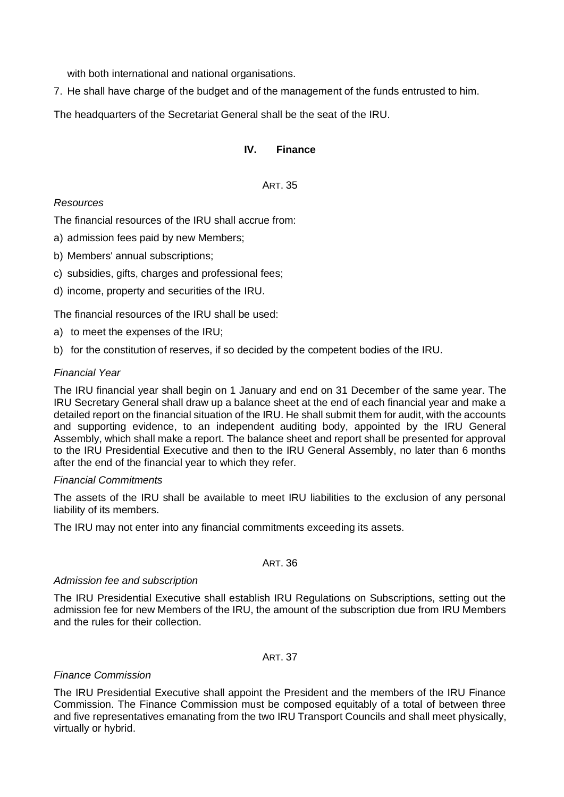with both international and national organisations.

7. He shall have charge of the budget and of the management of the funds entrusted to him.

The headquarters of the Secretariat General shall be the seat of the IRU.

# **IV. Finance**

# ART. 35

# *Resources*

The financial resources of the IRU shall accrue from:

- a) admission fees paid by new Members;
- b) Members' annual subscriptions;
- c) subsidies, gifts, charges and professional fees;
- d) income, property and securities of the IRU.

The financial resources of the IRU shall be used:

- a) to meet the expenses of the IRU;
- b) for the constitution of reserves, if so decided by the competent bodies of the IRU.

# *Financial Year*

The IRU financial year shall begin on 1 January and end on 31 December of the same year. The IRU Secretary General shall draw up a balance sheet at the end of each financial year and make a detailed report on the financial situation of the IRU. He shall submit them for audit, with the accounts and supporting evidence, to an independent auditing body, appointed by the IRU General Assembly, which shall make a report. The balance sheet and report shall be presented for approval to the IRU Presidential Executive and then to the IRU General Assembly, no later than 6 months after the end of the financial year to which they refer.

# *Financial Commitments*

The assets of the IRU shall be available to meet IRU liabilities to the exclusion of any personal liability of its members.

The IRU may not enter into any financial commitments exceeding its assets.

# ART. 36

# *Admission fee and subscription*

The IRU Presidential Executive shall establish IRU Regulations on Subscriptions, setting out the admission fee for new Members of the IRU, the amount of the subscription due from IRU Members and the rules for their collection.

# ART. 37

# *Finance Commission*

The IRU Presidential Executive shall appoint the President and the members of the IRU Finance Commission. The Finance Commission must be composed equitably of a total of between three and five representatives emanating from the two IRU Transport Councils and shall meet physically, virtually or hybrid.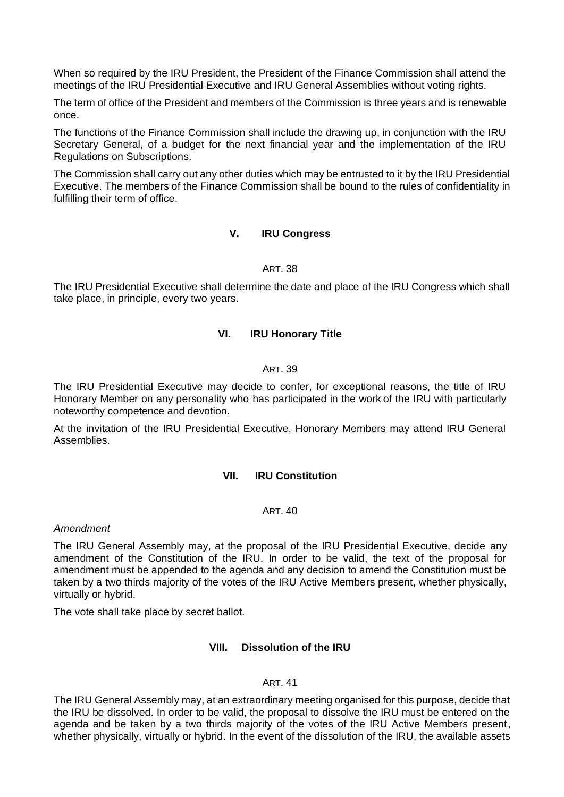When so required by the IRU President, the President of the Finance Commission shall attend the meetings of the IRU Presidential Executive and IRU General Assemblies without voting rights.

The term of office of the President and members of the Commission is three years and is renewable once.

The functions of the Finance Commission shall include the drawing up, in conjunction with the IRU Secretary General, of a budget for the next financial year and the implementation of the IRU Regulations on Subscriptions.

The Commission shall carry out any other duties which may be entrusted to it by the IRU Presidential Executive. The members of the Finance Commission shall be bound to the rules of confidentiality in fulfilling their term of office.

# **V. IRU Congress**

#### ART. 38

The IRU Presidential Executive shall determine the date and place of the IRU Congress which shall take place, in principle, every two years.

# **VI. IRU Honorary Title**

#### ART. 39

The IRU Presidential Executive may decide to confer, for exceptional reasons, the title of IRU Honorary Member on any personality who has participated in the work of the IRU with particularly noteworthy competence and devotion.

At the invitation of the IRU Presidential Executive, Honorary Members may attend IRU General Assemblies.

#### **VII. IRU Constitution**

#### ART. 40

#### *Amendment*

The IRU General Assembly may, at the proposal of the IRU Presidential Executive, decide any amendment of the Constitution of the IRU. In order to be valid, the text of the proposal for amendment must be appended to the agenda and any decision to amend the Constitution must be taken by a two thirds majority of the votes of the IRU Active Members present, whether physically, virtually or hybrid.

The vote shall take place by secret ballot.

# **VIII. Dissolution of the IRU**

#### ART. 41

The IRU General Assembly may, at an extraordinary meeting organised for this purpose, decide that the IRU be dissolved. In order to be valid, the proposal to dissolve the IRU must be entered on the agenda and be taken by a two thirds majority of the votes of the IRU Active Members present, whether physically, virtually or hybrid. In the event of the dissolution of the IRU, the available assets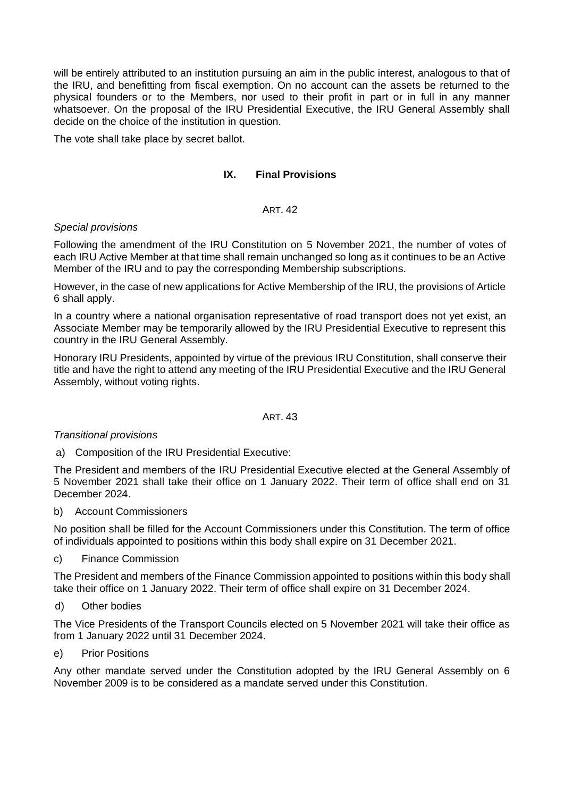will be entirely attributed to an institution pursuing an aim in the public interest, analogous to that of the IRU, and benefitting from fiscal exemption. On no account can the assets be returned to the physical founders or to the Members, nor used to their profit in part or in full in any manner whatsoever. On the proposal of the IRU Presidential Executive, the IRU General Assembly shall decide on the choice of the institution in question.

The vote shall take place by secret ballot.

# **IX. Final Provisions**

# ART. 42

# *Special provisions*

Following the amendment of the IRU Constitution on 5 November 2021, the number of votes of each IRU Active Member at that time shall remain unchanged so long as it continues to be an Active Member of the IRU and to pay the corresponding Membership subscriptions.

However, in the case of new applications for Active Membership of the IRU, the provisions of Article 6 shall apply.

In a country where a national organisation representative of road transport does not yet exist, an Associate Member may be temporarily allowed by the IRU Presidential Executive to represent this country in the IRU General Assembly.

Honorary IRU Presidents, appointed by virtue of the previous IRU Constitution, shall conserve their title and have the right to attend any meeting of the IRU Presidential Executive and the IRU General Assembly, without voting rights.

#### ART. 43

# *Transitional provisions*

a) Composition of the IRU Presidential Executive:

The President and members of the IRU Presidential Executive elected at the General Assembly of 5 November 2021 shall take their office on 1 January 2022. Their term of office shall end on 31 December 2024.

b) Account Commissioners

No position shall be filled for the Account Commissioners under this Constitution. The term of office of individuals appointed to positions within this body shall expire on 31 December 2021.

c) Finance Commission

The President and members of the Finance Commission appointed to positions within this body shall take their office on 1 January 2022. Their term of office shall expire on 31 December 2024.

d) Other bodies

The Vice Presidents of the Transport Councils elected on 5 November 2021 will take their office as from 1 January 2022 until 31 December 2024.

e) Prior Positions

Any other mandate served under the Constitution adopted by the IRU General Assembly on 6 November 2009 is to be considered as a mandate served under this Constitution.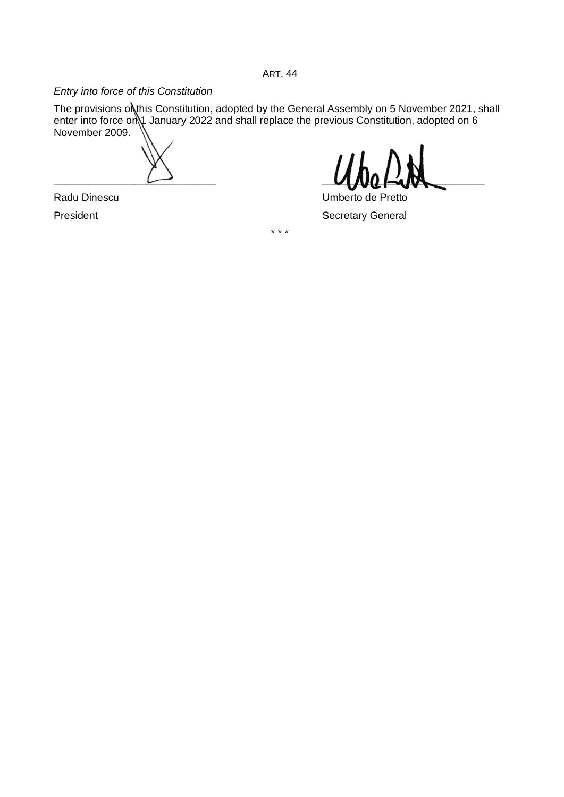ART. 44

# *Entry into force of this Constitution*

The provisions on this Constitution, adopted by the General Assembly on 5 November 2021, shall enter into force on 1 January 2022 and shall replace the previous Constitution, adopted on 6 November 2009.

\* \* \*

 $\Box$ 

Radu Dinescu **Natural Executive Contract Contract Contract Contract Contract Contract Contract Contract Contract Contract Contract Contract Contract Contract Contract Contract Contract Contract Contract Contract Contract C** President **Secretary General**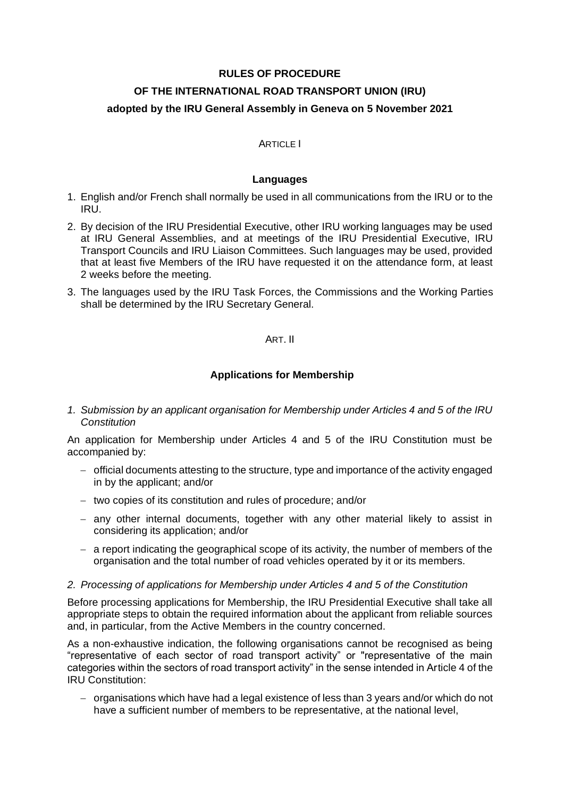# **RULES OF PROCEDURE OF THE INTERNATIONAL ROAD TRANSPORT UNION (IRU) adopted by the IRU General Assembly in Geneva on 5 November 2021**

# **ARTICLE I**

# **Languages**

- 1. English and/or French shall normally be used in all communications from the IRU or to the IRU.
- 2. By decision of the IRU Presidential Executive, other IRU working languages may be used at IRU General Assemblies, and at meetings of the IRU Presidential Executive, IRU Transport Councils and IRU Liaison Committees. Such languages may be used, provided that at least five Members of the IRU have requested it on the attendance form, at least 2 weeks before the meeting.
- 3. The languages used by the IRU Task Forces, the Commissions and the Working Parties shall be determined by the IRU Secretary General.

# ART. II

# **Applications for Membership**

*1. Submission by an applicant organisation for Membership under Articles 4 and 5 of the IRU Constitution*

An application for Membership under Articles 4 and 5 of the IRU Constitution must be accompanied by:

- − official documents attesting to the structure, type and importance of the activity engaged in by the applicant; and/or
- − two copies of its constitution and rules of procedure; and/or
- − any other internal documents, together with any other material likely to assist in considering its application; and/or
- − a report indicating the geographical scope of its activity, the number of members of the organisation and the total number of road vehicles operated by it or its members.

#### *2. Processing of applications for Membership under Articles 4 and 5 of the Constitution*

Before processing applications for Membership, the IRU Presidential Executive shall take all appropriate steps to obtain the required information about the applicant from reliable sources and, in particular, from the Active Members in the country concerned.

As a non-exhaustive indication, the following organisations cannot be recognised as being "representative of each sector of road transport activity" or "representative of the main categories within the sectors of road transport activity" in the sense intended in Article 4 of the IRU Constitution:

− organisations which have had a legal existence of less than 3 years and/or which do not have a sufficient number of members to be representative, at the national level,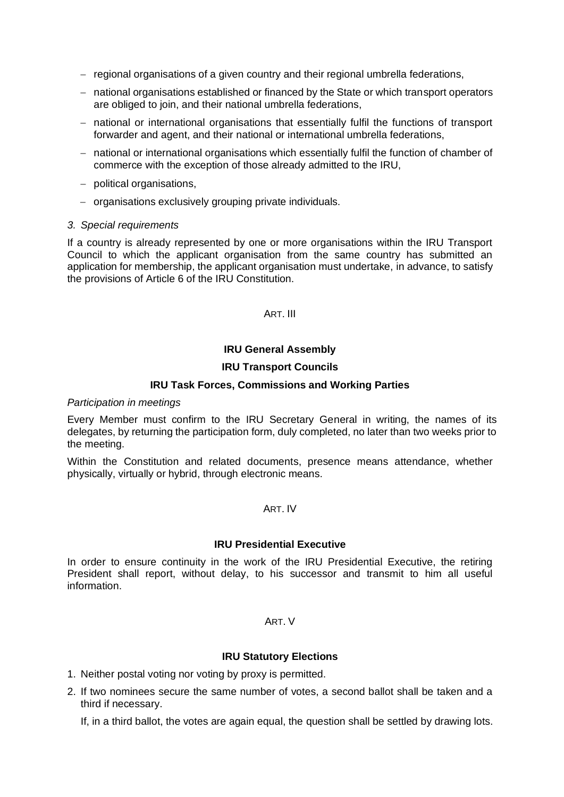- − regional organisations of a given country and their regional umbrella federations,
- − national organisations established or financed by the State or which transport operators are obliged to join, and their national umbrella federations,
- − national or international organisations that essentially fulfil the functions of transport forwarder and agent, and their national or international umbrella federations,
- − national or international organisations which essentially fulfil the function of chamber of commerce with the exception of those already admitted to the IRU,
- − political organisations,
- − organisations exclusively grouping private individuals.

# *3. Special requirements*

If a country is already represented by one or more organisations within the IRU Transport Council to which the applicant organisation from the same country has submitted an application for membership, the applicant organisation must undertake, in advance, to satisfy the provisions of Article 6 of the IRU Constitution.

# ART. III

# **IRU General Assembly**

# **IRU Transport Councils**

# **IRU Task Forces, Commissions and Working Parties**

#### *Participation in meetings*

Every Member must confirm to the IRU Secretary General in writing, the names of its delegates, by returning the participation form, duly completed, no later than two weeks prior to the meeting.

Within the Constitution and related documents, presence means attendance, whether physically, virtually or hybrid, through electronic means.

#### ART. IV

#### **IRU Presidential Executive**

In order to ensure continuity in the work of the IRU Presidential Executive, the retiring President shall report, without delay, to his successor and transmit to him all useful information.

#### ART. V

# **IRU Statutory Elections**

- 1. Neither postal voting nor voting by proxy is permitted.
- 2. If two nominees secure the same number of votes, a second ballot shall be taken and a third if necessary.

If, in a third ballot, the votes are again equal, the question shall be settled by drawing lots.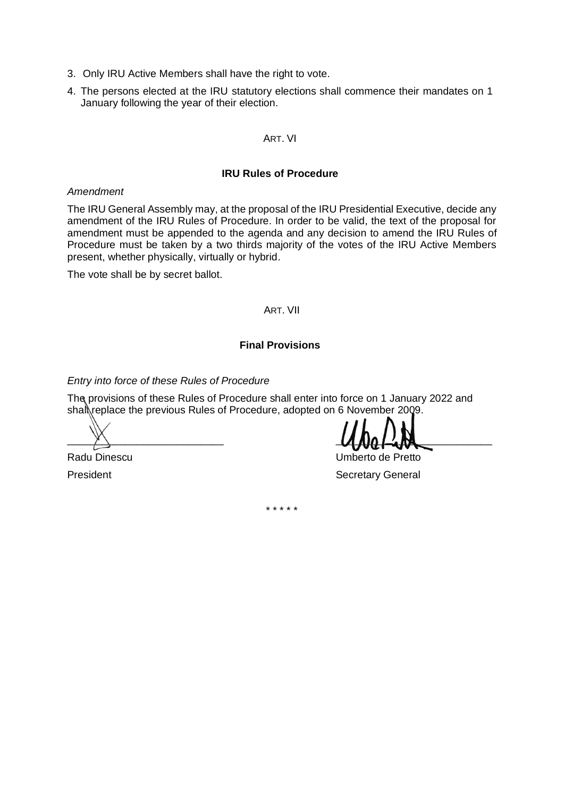- 3. Only IRU Active Members shall have the right to vote.
- 4. The persons elected at the IRU statutory elections shall commence their mandates on 1 January following the year of their election.

#### ART. VI

# **IRU Rules of Procedure**

#### *Amendment*

The IRU General Assembly may, at the proposal of the IRU Presidential Executive, decide any amendment of the IRU Rules of Procedure. In order to be valid, the text of the proposal for amendment must be appended to the agenda and any decision to amend the IRU Rules of Procedure must be taken by a two thirds majority of the votes of the IRU Active Members present, whether physically, virtually or hybrid.

The vote shall be by secret ballot.

# ART. VII

# **Final Provisions**

*Entry into force of these Rules of Procedure*

The provisions of these Rules of Procedure shall enter into force on 1 January 2022 and shall replace the previous Rules of Procedure, adopted on 6 November 2009.

 $\mathcal{L}$  and  $\mathcal{L}$  and  $\mathcal{L}$  and  $\mathcal{L}$  and  $\mathcal{L}$  and  $\mathcal{L}$  and  $\mathcal{L}$  and  $\mathcal{L}$  and  $\mathcal{L}$  and  $\mathcal{L}$  and  $\mathcal{L}$  and  $\mathcal{L}$  and  $\mathcal{L}$  and  $\mathcal{L}$  and  $\mathcal{L}$  and  $\mathcal{L}$  and  $\mathcal{L}$  and

Radu Dinescu **National Executive Contract Contract Contract Contract Contract Contract Contract Contract Contract Contract Contract Contract Contract Contract Contract Contract Contract Contract Contract Contract Contract** 

President **Secretary General** 

\* \* \* \* \*